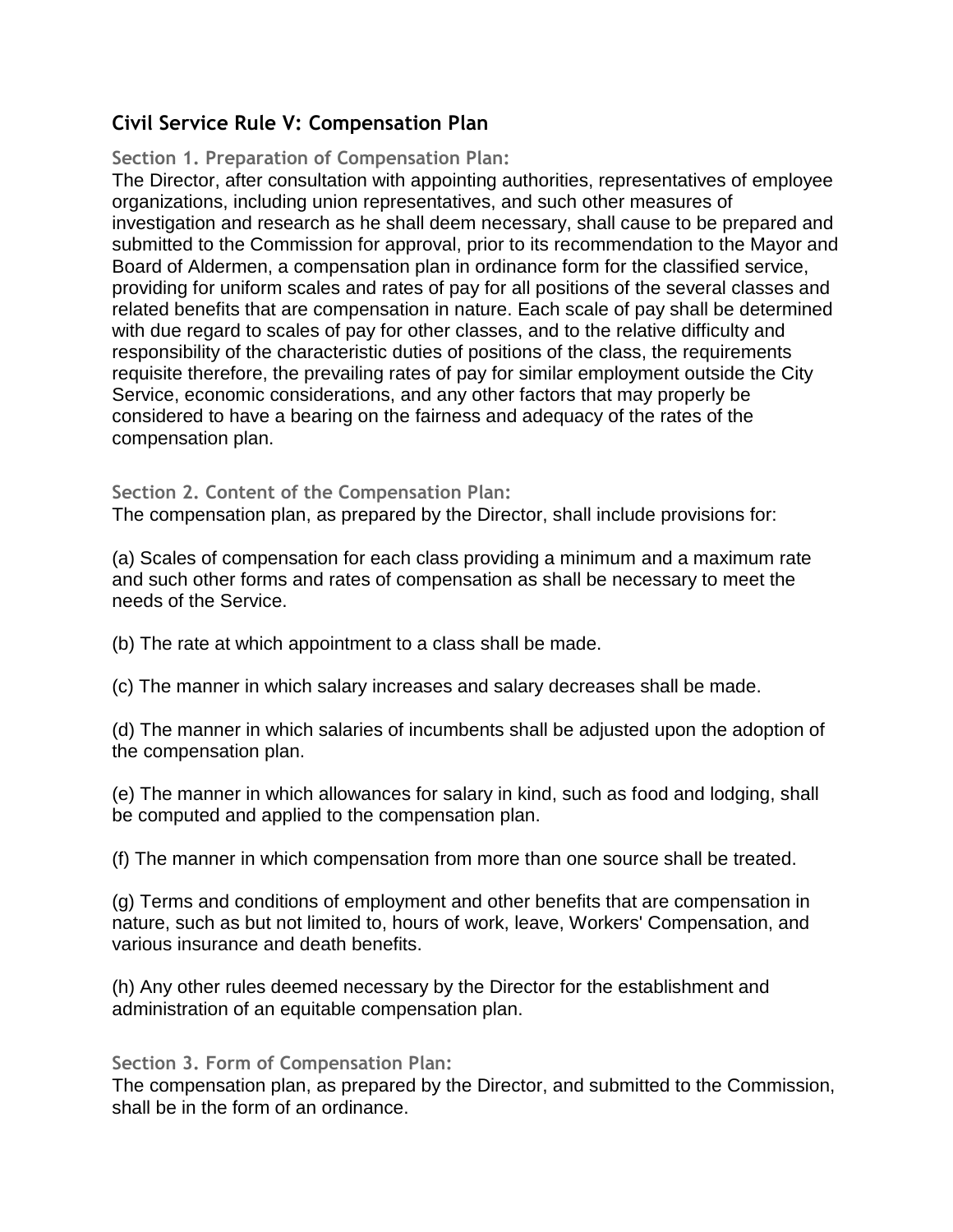# **Civil Service Rule V: Compensation Plan**

## **Section 1. Preparation of Compensation Plan:**

The Director, after consultation with appointing authorities, representatives of employee organizations, including union representatives, and such other measures of investigation and research as he shall deem necessary, shall cause to be prepared and submitted to the Commission for approval, prior to its recommendation to the Mayor and Board of Aldermen, a compensation plan in ordinance form for the classified service, providing for uniform scales and rates of pay for all positions of the several classes and related benefits that are compensation in nature. Each scale of pay shall be determined with due regard to scales of pay for other classes, and to the relative difficulty and responsibility of the characteristic duties of positions of the class, the requirements requisite therefore, the prevailing rates of pay for similar employment outside the City Service, economic considerations, and any other factors that may properly be considered to have a bearing on the fairness and adequacy of the rates of the compensation plan.

## **Section 2. Content of the Compensation Plan:**

The compensation plan, as prepared by the Director, shall include provisions for:

(a) Scales of compensation for each class providing a minimum and a maximum rate and such other forms and rates of compensation as shall be necessary to meet the needs of the Service.

(b) The rate at which appointment to a class shall be made.

(c) The manner in which salary increases and salary decreases shall be made.

(d) The manner in which salaries of incumbents shall be adjusted upon the adoption of the compensation plan.

(e) The manner in which allowances for salary in kind, such as food and lodging, shall be computed and applied to the compensation plan.

(f) The manner in which compensation from more than one source shall be treated.

(g) Terms and conditions of employment and other benefits that are compensation in nature, such as but not limited to, hours of work, leave, Workers' Compensation, and various insurance and death benefits.

(h) Any other rules deemed necessary by the Director for the establishment and administration of an equitable compensation plan.

### **Section 3. Form of Compensation Plan:**

The compensation plan, as prepared by the Director, and submitted to the Commission, shall be in the form of an ordinance.